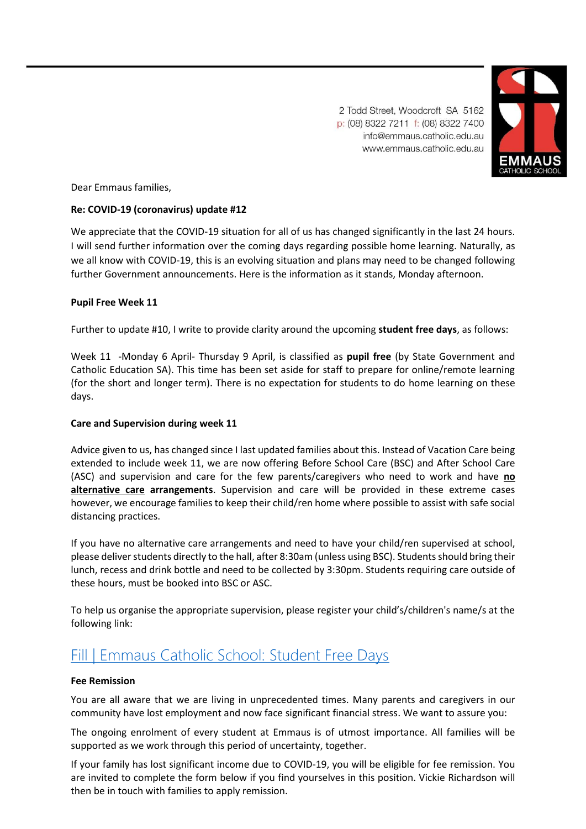2 Todd Street, Woodcroft SA 5162 p: (08) 8322 7211 f: (08) 8322 7400 info@emmaus.catholic.edu.au www.emmaus.catholic.edu.au



Dear Emmaus families,

## **Re: COVID-19 (coronavirus) update #12**

We appreciate that the COVID-19 situation for all of us has changed significantly in the last 24 hours. I will send further information over the coming days regarding possible home learning. Naturally, as we all know with COVID-19, this is an evolving situation and plans may need to be changed following further Government announcements. Here is the information as it stands, Monday afternoon.

## **Pupil Free Week 11**

Further to update #10, I write to provide clarity around the upcoming **student free days**, as follows:

Week 11 -Monday 6 April- Thursday 9 April, is classified as **pupil free** (by State Government and Catholic Education SA). This time has been set aside for staff to prepare for online/remote learning (for the short and longer term). There is no expectation for students to do home learning on these days.

### **Care and Supervision during week 11**

Advice given to us, has changed since I last updated families about this. Instead of Vacation Care being extended to include week 11, we are now offering Before School Care (BSC) and After School Care (ASC) and supervision and care for the few parents/caregivers who need to work and have **no alternative care arrangements**. Supervision and care will be provided in these extreme cases however, we encourage families to keep their child/ren home where possible to assist with safe social distancing practices.

If you have no alternative care arrangements and need to have your child/ren supervised at school, please deliver students directly to the hall, after 8:30am (unless using BSC). Students should bring their lunch, recess and drink bottle and need to be collected by 3:30pm. Students requiring care outside of these hours, must be booked into BSC or ASC.

To help us organise the appropriate supervision, please register your child's/children's name/s at the following link:

# [Fill | Emmaus Catholic School: Student Free Days](https://aus01.safelinks.protection.outlook.com/?url=https%3A%2F%2Fforms.office.com%2FPages%2FResponsePage.aspx%3Fid%3DiH8y3OPh4kOb4PJ6kc4v9pYNzPRrrxpHgmsPwKR3nRdUQVg2TExINjlCSE9WSDZIMDZUTlNBSERUUS4u&data=02%7C01%7Ccgurr%40emmaus.catholic.edu.au%7Cf1d67f89eadf498f900908d7d449dde1%7Cdc327f88e1e343e29be0f27a91ce2ff6%7C0%7C0%7C637211286023981953&sdata=DkhAlSCTFKgS%2F7nDxvx8r%2BKpP7ydtWUAxMelEYTvizo%3D&reserved=0)

### **Fee Remission**

You are all aware that we are living in unprecedented times. Many parents and caregivers in our community have lost employment and now face significant financial stress. We want to assure you:

The ongoing enrolment of every student at Emmaus is of utmost importance. All families will be supported as we work through this period of uncertainty, together.

If your family has lost significant income due to COVID-19, you will be eligible for fee remission. You are invited to complete the form below if you find yourselves in this position. Vickie Richardson will then be in touch with families to apply remission.